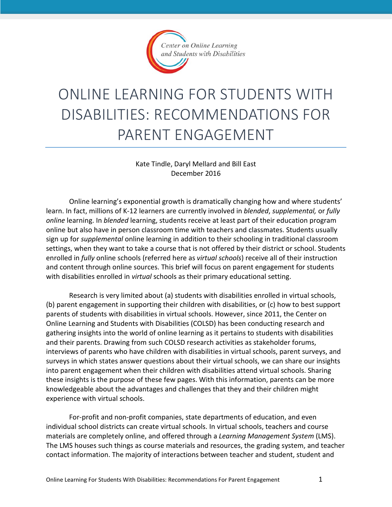

# ONLINE LEARNING FOR STUDENTS WITH DISABILITIES: RECOMMENDATIONS FOR PARENT ENGAGEMENT

Kate Tindle, Daryl Mellard and Bill East December 2016

Online learning's exponential growth is dramatically changing how and where students' learn. In fact, millions of K-12 learners are currently involved in *blended*, *supplemental,* or *fully online* learning. In *blended* learning, students receive at least part of their education program online but also have in person classroom time with teachers and classmates. Students usually sign up for *supplemental* online learning in addition to their schooling in traditional classroom settings, when they want to take a course that is not offered by their district or school. Students enrolled in *fully* online schools (referred here as *virtual schools*) receive all of their instruction and content through online sources. This brief will focus on parent engagement for students with disabilities enrolled in *virtual* schools as their primary educational setting.

Research is very limited about (a) students with disabilities enrolled in virtual schools, (b) parent engagement in supporting their children with disabilities, or (c) how to best support parents of students with disabilities in virtual schools. However, since 2011, the Center on Online Learning and Students with Disabilities (COLSD) has been conducting research and gathering insights into the world of online learning as it pertains to students with disabilities and their parents. Drawing from such COLSD research activities as stakeholder forums, interviews of parents who have children with disabilities in virtual schools, parent surveys, and surveys in which states answer questions about their virtual schools, we can share our insights into parent engagement when their children with disabilities attend virtual schools. Sharing these insights is the purpose of these few pages. With this information, parents can be more knowledgeable about the advantages and challenges that they and their children might experience with virtual schools.

For-profit and non-profit companies, state departments of education, and even individual school districts can create virtual schools. In virtual schools, teachers and course materials are completely online, and offered through a *Learning Management System* (LMS). The LMS houses such things as course materials and resources, the grading system, and teacher contact information. The majority of interactions between teacher and student, student and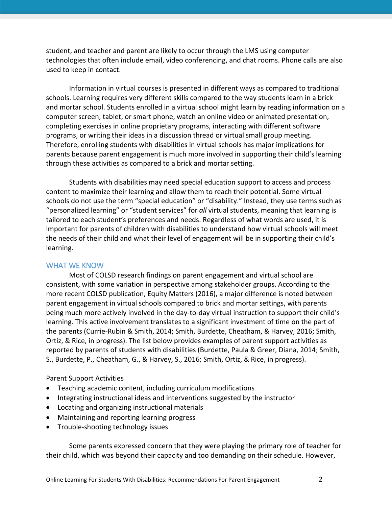student, and teacher and parent are likely to occur through the LMS using computer technologies that often include email, video conferencing, and chat rooms. Phone calls are also used to keep in contact.

Information in virtual courses is presented in different ways as compared to traditional schools. Learning requires very different skills compared to the way students learn in a brick and mortar school. Students enrolled in a virtual school might learn by reading information on a computer screen, tablet, or smart phone, watch an online video or animated presentation, completing exercises in online proprietary programs, interacting with different software programs, or writing their ideas in a discussion thread or virtual small group meeting. Therefore, enrolling students with disabilities in virtual schools has major implications for parents because parent engagement is much more involved in supporting their child's learning through these activities as compared to a brick and mortar setting.

Students with disabilities may need special education support to access and process content to maximize their learning and allow them to reach their potential. Some virtual schools do not use the term "special education" or "disability." Instead, they use terms such as "personalized learning" or "student services" for *all* virtual students, meaning that learning is tailored to each student's preferences and needs. Regardless of what words are used, it is important for parents of children with disabilities to understand how virtual schools will meet the needs of their child and what their level of engagement will be in supporting their child's learning.

### WHAT WE KNOW

Most of COLSD research findings on parent engagement and virtual school are consistent, with some variation in perspective among stakeholder groups. According to the more recent COLSD publication, Equity Matters (2016), a major difference is noted between parent engagement in virtual schools compared to brick and mortar settings, with parents being much more actively involved in the day-to-day virtual instruction to support their child's learning. This active involvement translates to a significant investment of time on the part of the parents (Currie-Rubin & Smith, 2014; Smith, Burdette, Cheatham, & Harvey, 2016; Smith, Ortiz, & Rice, in progress). The list below provides examples of parent support activities as reported by parents of students with disabilities (Burdette, Paula & Greer, Diana, 2014; Smith, S., Burdette, P., Cheatham, G., & Harvey, S., 2016; Smith, Ortiz, & Rice, in progress).

Parent Support Activities

- Teaching academic content, including curriculum modifications
- Integrating instructional ideas and interventions suggested by the instructor
- Locating and organizing instructional materials
- Maintaining and reporting learning progress
- Trouble-shooting technology issues

Some parents expressed concern that they were playing the primary role of teacher for their child, which was beyond their capacity and too demanding on their schedule. However,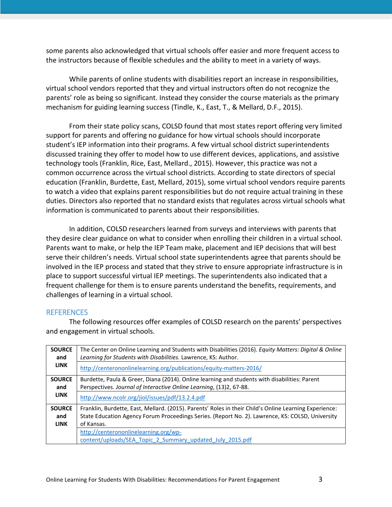some parents also acknowledged that virtual schools offer easier and more frequent access to the instructors because of flexible schedules and the ability to meet in a variety of ways.

While parents of online students with disabilities report an increase in responsibilities, virtual school vendors reported that they and virtual instructors often do not recognize the parents' role as being so significant. Instead they consider the course materials as the primary mechanism for guiding learning success (Tindle, K., East, T., & Mellard, D.F., 2015).

From their state policy scans, COLSD found that most states report offering very limited support for parents and offering no guidance for how virtual schools should incorporate student's IEP information into their programs. A few virtual school district superintendents discussed training they offer to model how to use different devices, applications, and assistive technology tools (Franklin, Rice, East, Mellard., 2015). However, this practice was not a common occurrence across the virtual school districts. According to state directors of special education (Franklin, Burdette, East, Mellard, 2015), some virtual school vendors require parents to watch a video that explains parent responsibilities but do not require actual training in these duties. Directors also reported that no standard exists that regulates across virtual schools what information is communicated to parents about their responsibilities.

In addition, COLSD researchers learned from surveys and interviews with parents that they desire clear guidance on what to consider when enrolling their children in a virtual school. Parents want to make, or help the IEP Team make, placement and IEP decisions that will best serve their children's needs. Virtual school state superintendents agree that parents should be involved in the IEP process and stated that they strive to ensure appropriate infrastructure is in place to support successful virtual IEP meetings. The superintendents also indicated that a frequent challenge for them is to ensure parents understand the benefits, requirements, and challenges of learning in a virtual school.

#### REFERENCES

| <b>SOURCE</b> | The Center on Online Learning and Students with Disabilities (2016). Equity Matters: Digital & Online  |
|---------------|--------------------------------------------------------------------------------------------------------|
| and           | Learning for Students with Disabilities. Lawrence, KS: Author.                                         |
| <b>LINK</b>   | http://centerononlinelearning.org/publications/equity-matters-2016/                                    |
| <b>SOURCE</b> | Burdette, Paula & Greer, Diana (2014). Online learning and students with disabilities: Parent          |
| and           | Perspectives. Journal of Interactive Online Learning, (13)2, 67-88.                                    |
| <b>LINK</b>   | http://www.ncolr.org/jiol/issues/pdf/13.2.4.pdf                                                        |
| <b>SOURCE</b> | Franklin, Burdette, East, Mellard. (2015). Parents' Roles in their Child's Online Learning Experience: |
| and           | State Education Agency Forum Proceedings Series. (Report No. 2). Lawrence, KS: COLSD, University       |
| <b>LINK</b>   | of Kansas.                                                                                             |
|               | http://centerononlinelearning.org/wp-                                                                  |
|               | content/uploads/SEA Topic 2 Summary updated July 2015.pdf                                              |

The following resources offer examples of COLSD research on the parents' perspectives and engagement in virtual schools.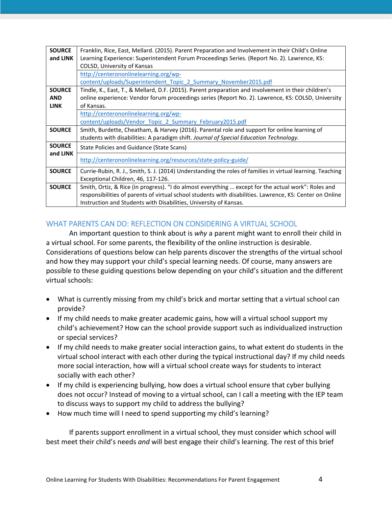| <b>SOURCE</b> | Franklin, Rice, East, Mellard. (2015). Parent Preparation and Involvement in their Child's Online          |
|---------------|------------------------------------------------------------------------------------------------------------|
| and LINK      | Learning Experience: Superintendent Forum Proceedings Series. (Report No. 2). Lawrence, KS:                |
|               | COLSD, University of Kansas                                                                                |
|               | http://centerononlinelearning.org/wp-                                                                      |
|               | content/uploads/Superintendent Topic 2 Summary November2015.pdf                                            |
| <b>SOURCE</b> | Tindle, K., East, T., & Mellard, D.F. (2015). Parent preparation and involvement in their children's       |
| <b>AND</b>    | online experience: Vendor forum proceedings series (Report No. 2). Lawrence, KS: COLSD, University         |
| <b>LINK</b>   | of Kansas.                                                                                                 |
|               | http://centerononlinelearning.org/wp-                                                                      |
|               | content/uploads/Vendor Topic 2 Summary February2015.pdf                                                    |
| <b>SOURCE</b> | Smith, Burdette, Cheatham, & Harvey (2016). Parental role and support for online learning of               |
|               | students with disabilities: A paradigm shift. Journal of Special Education Technology.                     |
| <b>SOURCE</b> | State Policies and Guidance (State Scans)                                                                  |
| and LINK      | http://centerononlinelearning.org/resources/state-policy-guide/                                            |
| <b>SOURCE</b> | Currie-Rubin, R. J., Smith, S. J. (2014) Understanding the roles of families in virtual learning. Teaching |
|               | Exceptional Children, 46, 117-126.                                                                         |
| <b>SOURCE</b> | Smith, Ortiz, & Rice (in progress). "I do almost everything  except for the actual work": Roles and        |
|               | responsibilities of parents of virtual school students with disabilities. Lawrence, KS: Center on Online   |
|               | Instruction and Students with Disabilities, University of Kansas.                                          |

## WHAT PARENTS CAN DO: REFLECTION ON CONSIDERING A VIRTUAL SCHOOL

An important question to think about is *why* a parent might want to enroll their child in a virtual school. For some parents, the flexibility of the online instruction is desirable. Considerations of questions below can help parents discover the strengths of the virtual school and how they may support your child's special learning needs. Of course, many answers are possible to these guiding questions below depending on your child's situation and the different virtual schools:

- What is currently missing from my child's brick and mortar setting that a virtual school can provide?
- If my child needs to make greater academic gains, how will a virtual school support my child's achievement? How can the school provide support such as individualized instruction or special services?
- If my child needs to make greater social interaction gains, to what extent do students in the virtual school interact with each other during the typical instructional day? If my child needs more social interaction, how will a virtual school create ways for students to interact socially with each other?
- If my child is experiencing bullying, how does a virtual school ensure that cyber bullying does not occur? Instead of moving to a virtual school, can I call a meeting with the IEP team to discuss ways to support my child to address the bullying?
- How much time will I need to spend supporting my child's learning?

If parents support enrollment in a virtual school, they must consider which school will best meet their child's needs *and* will best engage their child's learning. The rest of this brief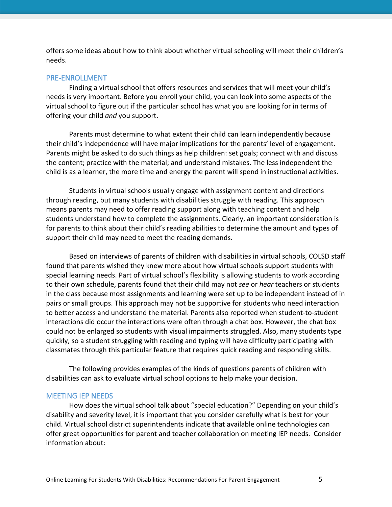offers some ideas about how to think about whether virtual schooling will meet their children's needs.

#### PRE-ENROLLMENT

Finding a virtual school that offers resources and services that will meet your child's needs is very important. Before you enroll your child, you can look into some aspects of the virtual school to figure out if the particular school has what you are looking for in terms of offering your child *and* you support.

Parents must determine to what extent their child can learn independently because their child's independence will have major implications for the parents' level of engagement. Parents might be asked to do such things as help children: set goals; connect with and discuss the content; practice with the material; and understand mistakes. The less independent the child is as a learner, the more time and energy the parent will spend in instructional activities.

Students in virtual schools usually engage with assignment content and directions through reading, but many students with disabilities struggle with reading. This approach means parents may need to offer reading support along with teaching content and help students understand how to complete the assignments. Clearly, an important consideration is for parents to think about their child's reading abilities to determine the amount and types of support their child may need to meet the reading demands.

Based on interviews of parents of children with disabilities in virtual schools, COLSD staff found that parents wished they knew more about how virtual schools support students with special learning needs. Part of virtual school's flexibility is allowing students to work according to their own schedule, parents found that their child may not *see* or *hear* teachers or students in the class because most assignments and learning were set up to be independent instead of in pairs or small groups. This approach may not be supportive for students who need interaction to better access and understand the material. Parents also reported when student-to-student interactions did occur the interactions were often through a chat box. However, the chat box could not be enlarged so students with visual impairments struggled. Also, many students type quickly, so a student struggling with reading and typing will have difficulty participating with classmates through this particular feature that requires quick reading and responding skills.

The following provides examples of the kinds of questions parents of children with disabilities can ask to evaluate virtual school options to help make your decision.

#### MEETING IEP NEEDS

How does the virtual school talk about "special education?" Depending on your child's disability and severity level, it is important that you consider carefully what is best for your child. Virtual school district superintendents indicate that available online technologies can offer great opportunities for parent and teacher collaboration on meeting IEP needs. Consider information about: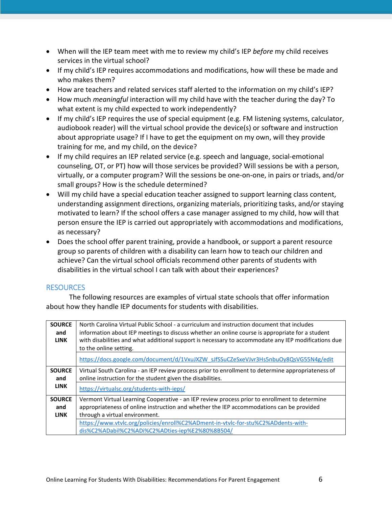- When will the IEP team meet with me to review my child's IEP *before* my child receives services in the virtual school?
- If my child's IEP requires accommodations and modifications, how will these be made and who makes them?
- How are teachers and related services staff alerted to the information on my child's IEP?
- How much *meaningful* interaction will my child have with the teacher during the day? To what extent is my child expected to work independently?
- If my child's IEP requires the use of special equipment (e.g. FM listening systems, calculator, audiobook reader) will the virtual school provide the device(s) or software and instruction about appropriate usage? If I have to get the equipment on my own, will they provide training for me, and my child, on the device?
- If my child requires an IEP related service (e.g. speech and language, social-emotional counseling, OT, or PT) how will those services be provided? Will sessions be with a person, virtually, or a computer program? Will the sessions be one-on-one, in pairs or triads, and/or small groups? How is the schedule determined?
- Will my child have a special education teacher assigned to support learning class content, understanding assignment directions, organizing materials, prioritizing tasks, and/or staying motivated to learn? If the school offers a case manager assigned to my child, how will that person ensure the IEP is carried out appropriately with accommodations and modifications, as necessary?
- Does the school offer parent training, provide a handbook, or support a parent resource group so parents of children with a disability can learn how to teach our children and achieve? Can the virtual school officials recommend other parents of students with disabilities in the virtual school I can talk with about their experiences?

## RESOURCES

The following resources are examples of virtual state schools that offer information about how they handle IEP documents for students with disabilities.

| <b>SOURCE</b> | North Carolina Virtual Public School - a curriculum and instruction document that includes          |
|---------------|-----------------------------------------------------------------------------------------------------|
| and           | information about IEP meetings to discuss whether an online course is appropriate for a student     |
| <b>LINK</b>   | with disabilities and what additional support is necessary to accommodate any IEP modifications due |
|               | to the online setting.                                                                              |
|               | https://docs.google.com/document/d/1VxuJXZW_sJfSSuCZeSxeVJvr3Hs5nbuOy8QsVG55N4g/edit                |
| <b>SOURCE</b> | Virtual South Carolina - an IEP review process prior to enrollment to determine appropriateness of  |
| and           | online instruction for the student given the disabilities.                                          |
| <b>LINK</b>   | https://virtualsc.org/students-with-ieps/                                                           |
|               |                                                                                                     |
| <b>SOURCE</b> | Vermont Virtual Learning Cooperative - an IEP review process prior to enrollment to determine       |
| and           | appropriateness of online instruction and whether the IEP accommodations can be provided            |
| <b>LINK</b>   | through a virtual environment.                                                                      |
|               | https://www.vtvlc.org/policies/enroll%C2%ADment-in-vtvlc-for-stu%C2%ADdents-with-                   |
|               | dis%C2%ADabil%C2%ADi%C2%ADties-iep%E2%80%8B504/                                                     |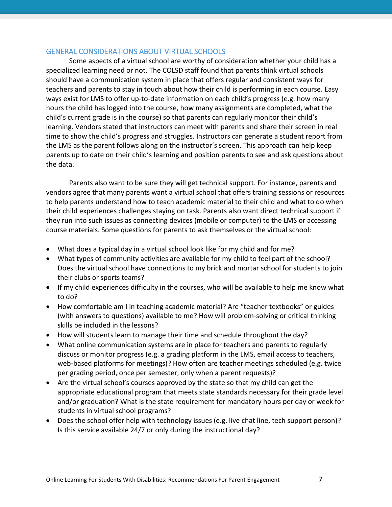## GENERAL CONSIDERATIONS ABOUT VIRTUAL SCHOOLS

Some aspects of a virtual school are worthy of consideration whether your child has a specialized learning need or not. The COLSD staff found that parents think virtual schools should have a communication system in place that offers regular and consistent ways for teachers and parents to stay in touch about how their child is performing in each course. Easy ways exist for LMS to offer up-to-date information on each child's progress (e.g. how many hours the child has logged into the course, how many assignments are completed, what the child's current grade is in the course) so that parents can regularly monitor their child's learning. Vendors stated that instructors can meet with parents and share their screen in real time to show the child's progress and struggles. Instructors can generate a student report from the LMS as the parent follows along on the instructor's screen. This approach can help keep parents up to date on their child's learning and position parents to see and ask questions about the data.

Parents also want to be sure they will get technical support. For instance, parents and vendors agree that many parents want a virtual school that offers training sessions or resources to help parents understand how to teach academic material to their child and what to do when their child experiences challenges staying on task. Parents also want direct technical support if they run into such issues as connecting devices (mobile or computer) to the LMS or accessing course materials. Some questions for parents to ask themselves or the virtual school:

- What does a typical day in a virtual school look like for my child and for me?
- What types of community activities are available for my child to feel part of the school? Does the virtual school have connections to my brick and mortar school for students to join their clubs or sports teams?
- If my child experiences difficulty in the courses, who will be available to help me know what to do?
- How comfortable am I in teaching academic material? Are "teacher textbooks" or guides (with answers to questions) available to me? How will problem-solving or critical thinking skills be included in the lessons?
- How will students learn to manage their time and schedule throughout the day?
- What online communication systems are in place for teachers and parents to regularly discuss or monitor progress (e.g. a grading platform in the LMS, email access to teachers, web-based platforms for meetings)? How often are teacher meetings scheduled (e.g. twice per grading period, once per semester, only when a parent requests)?
- Are the virtual school's courses approved by the state so that my child can get the appropriate educational program that meets state standards necessary for their grade level and/or graduation? What is the state requirement for mandatory hours per day or week for students in virtual school programs?
- Does the school offer help with technology issues (e.g. live chat line, tech support person)? Is this service available 24/7 or only during the instructional day?